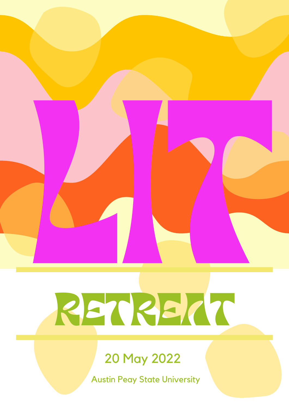

## RETREAT

### 20 May 2022

Austin Peay State University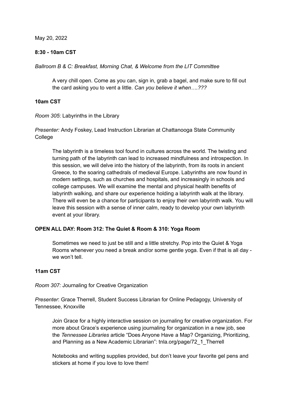May 20, 2022

#### **8:30 - 10am CST**

*Ballroom B & C: Breakfast, Morning Chat, & Welcome from the LIT Committee*

A very chill open. Come as you can, sign in, grab a bagel, and make sure to fill out the card asking you to vent a little. *Can you believe it when….???*

#### **10am CST**

*Room 305*: Labyrinths in the Library

*Presenter:* Andy Foskey, Lead Instruction Librarian at Chattanooga State Community **College** 

The labyrinth is a timeless tool found in cultures across the world. The twisting and turning path of the labyrinth can lead to increased mindfulness and introspection. In this session, we will delve into the history of the labyrinth, from its roots in ancient Greece, to the soaring cathedrals of medieval Europe. Labyrinths are now found in modern settings, such as churches and hospitals, and increasingly in schools and college campuses. We will examine the mental and physical health benefits of labyrinth walking, and share our experience holding a labyrinth walk at the library. There will even be a chance for participants to enjoy their own labyrinth walk. You will leave this session with a sense of inner calm, ready to develop your own labyrinth event at your library.

#### **OPEN ALL DAY: Room 312: The Quiet & Room & 310: Yoga Room**

Sometimes we need to just be still and a little stretchy. Pop into the Quiet & Yoga Rooms whenever you need a break and/or some gentle yoga. Even if that is all day we won't tell

#### **11am CST**

*Room 307:* Journaling for Creative Organization

*Presenter*: Grace Therrell, Student Success Librarian for Online Pedagogy, University of Tennessee, Knoxville

Join Grace for a highly interactive session on journaling for creative organization. For more about Grace's experience using journaling for organization in a new job, see the *Tennessee Libraries* article "Does Anyone Have a Map? Organizing, Prioritizing, and Planning as a New Academic Librarian": tnla.org/page/72\_1\_Therrell

Notebooks and writing supplies provided, but don't leave your favorite gel pens and stickers at home if you love to love them!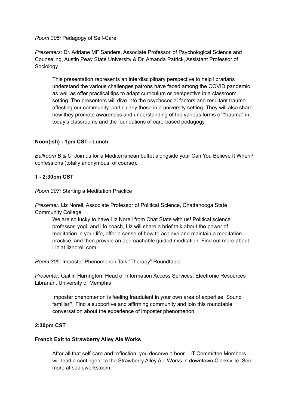*Room 305:* Pedagogy of Self-Care

*Presenters:* Dr. Adriane MF Sanders, Associate Professor of Psychological Science and Counseling, Austin Peay State University & Dr. Amanda Patrick, Assistant Professor of Sociology

This presentation represents an interdisciplinary perspective to help librarians understand the various challenges patrons have faced among the COVID pandemic as well as offer practical tips to adapt curriculum or perspective in a classroom setting. The presenters will dive into the psychosocial factors and resultant trauma affecting our community, particularly those in a university setting. They will also share how they promote awareness and understanding of the various forms of "trauma" in today's classrooms and the foundations of care-based pedagogy.

#### **Noon(ish) - 1pm CST - Lunch**

*Ballroom B & C*: Join us for a Mediterranean buffet alongside your Can You Believe It When? confessions (totally anonymous, of course).

#### **1 - 2:30pm CST**

*Room 307:* Starting a Meditation Practice

*Presenter:* Liz Norell, Associate Professor of Political Science, Chattanooga State Community College

We are so lucky to have Liz Norell from Chat State with us! Political science professor, yogi, and life coach, Liz will share a brief talk about the power of meditation in your life, offer a sense of how to achieve and maintain a meditation practice, and then provide an approachable guided meditation. Find out more about Liz at liznorell.com.

*Room 305:* Imposter Phenomenon Talk "Therapy" Roundtable

*Presenter:* Caitlin Harrington, Head of Information Access Services, Electronic Resources Librarian, University of Memphis

Imposter phenomenon is feeling fraudulent in your own area of expertise. Sound familiar? Find a supportive and affirming community and join this roundtable conversation about the experience of imposter phenomenon.

#### **2:30pm CST**

#### **French Exit to Strawberry Alley Ale Works**

After all that self-care and reflection, you deserve a beer. LIT Committee Members will lead a contingent to the Strawberry Alley Ale Works in downtown Clarksville. See more at saaleworks.com.